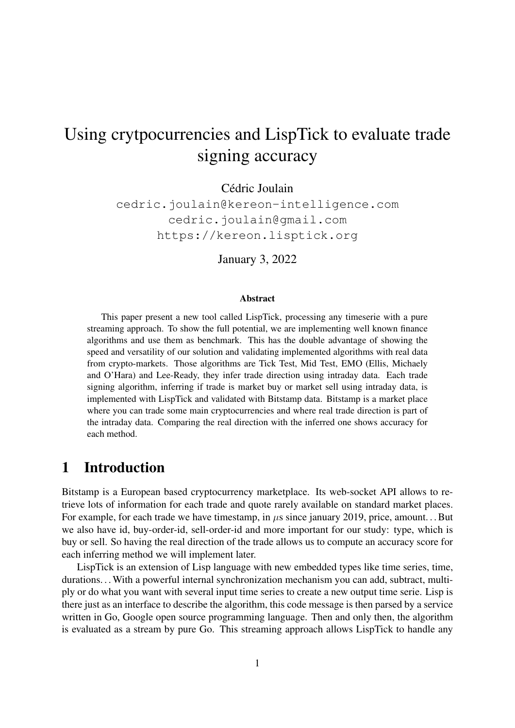# Using crytpocurrencies and LispTick to evaluate trade signing accuracy

Cédric Joulain

cedric.joulain@kereon-intelligence.com cedric.joulain@gmail.com https://kereon.lisptick.org

January 3, 2022

#### Abstract

This paper present a new tool called LispTick, processing any timeserie with a pure streaming approach. To show the full potential, we are implementing well known finance algorithms and use them as benchmark. This has the double advantage of showing the speed and versatility of our solution and validating implemented algorithms with real data from crypto-markets. Those algorithms are Tick Test, Mid Test, EMO (Ellis, Michaely and O'Hara) and Lee-Ready, they infer trade direction using intraday data. Each trade signing algorithm, inferring if trade is market buy or market sell using intraday data, is implemented with LispTick and validated with Bitstamp data. Bitstamp is a market place where you can trade some main cryptocurrencies and where real trade direction is part of the intraday data. Comparing the real direction with the inferred one shows accuracy for each method.

# 1 Introduction

Bitstamp is a European based cryptocurrency marketplace. Its web-socket API allows to retrieve lots of information for each trade and quote rarely available on standard market places. For example, for each trade we have timestamp, in  $\mu$ s since january 2019, price, amount... But we also have id, buy-order-id, sell-order-id and more important for our study: type, which is buy or sell. So having the real direction of the trade allows us to compute an accuracy score for each inferring method we will implement later.

LispTick is an extension of Lisp language with new embedded types like time series, time, durations... With a powerful internal synchronization mechanism you can add, subtract, multiply or do what you want with several input time series to create a new output time serie. Lisp is there just as an interface to describe the algorithm, this code message is then parsed by a service written in Go, Google open source programming language. Then and only then, the algorithm is evaluated as a stream by pure Go. This streaming approach allows LispTick to handle any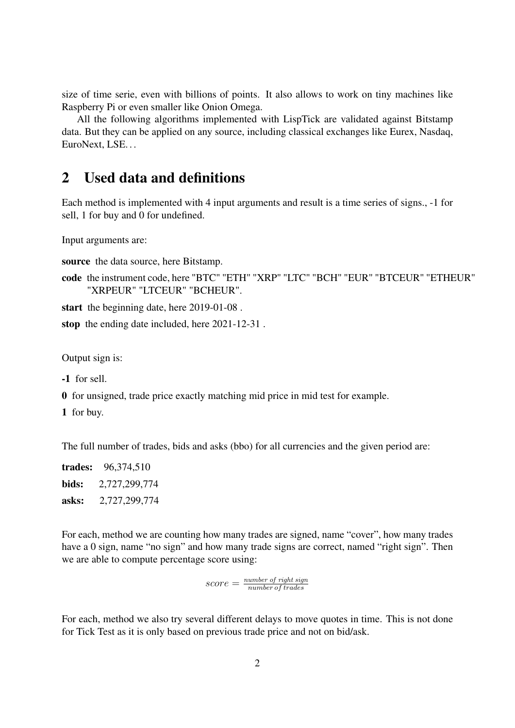size of time serie, even with billions of points. It also allows to work on tiny machines like Raspberry Pi or even smaller like Onion Omega.

All the following algorithms implemented with LispTick are validated against Bitstamp data. But they can be applied on any source, including classical exchanges like Eurex, Nasdaq, EuroNext, LSE. . .

# 2 Used data and definitions

Each method is implemented with 4 input arguments and result is a time series of signs., -1 for sell, 1 for buy and 0 for undefined.

Input arguments are:

source the data source, here Bitstamp.

code the instrument code, here "BTC" "ETH" "XRP" "LTC" "BCH" "EUR" "BTCEUR" "ETHEUR" "XRPEUR" "LTCEUR" "BCHEUR".

start the beginning date, here 2019-01-08 .

stop the ending date included, here 2021-12-31 .

Output sign is:

-1 for sell.

0 for unsigned, trade price exactly matching mid price in mid test for example.

1 for buy.

The full number of trades, bids and asks (bbo) for all currencies and the given period are:

trades: 96,374,510 bids: 2,727,299,774 asks: 2,727,299,774

For each, method we are counting how many trades are signed, name "cover", how many trades have a 0 sign, name "no sign" and how many trade signs are correct, named "right sign". Then we are able to compute percentage score using:

> $score = \frac{number\ of\ right\ sign}{number\ of\ trades}$ number of trades

For each, method we also try several different delays to move quotes in time. This is not done for Tick Test as it is only based on previous trade price and not on bid/ask.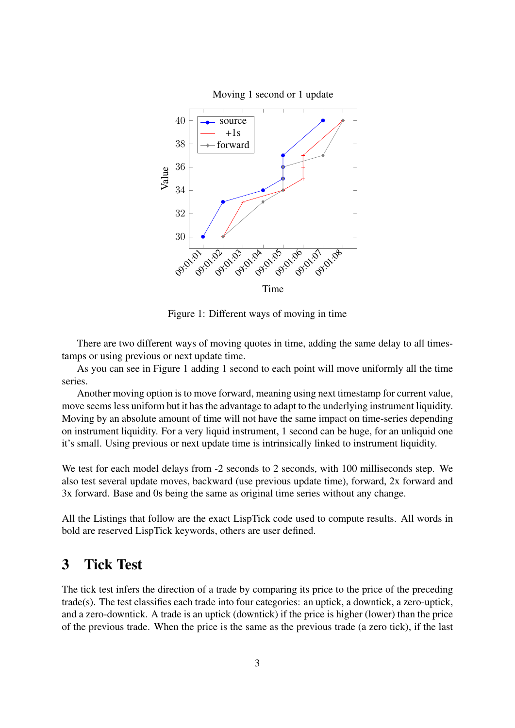

Figure 1: Different ways of moving in time

There are two different ways of moving quotes in time, adding the same delay to all timestamps or using previous or next update time.

As you can see in Figure 1 adding 1 second to each point will move uniformly all the time series.

Another moving option is to move forward, meaning using next timestamp for current value, move seems less uniform but it has the advantage to adapt to the underlying instrument liquidity. Moving by an absolute amount of time will not have the same impact on time-series depending on instrument liquidity. For a very liquid instrument, 1 second can be huge, for an unliquid one it's small. Using previous or next update time is intrinsically linked to instrument liquidity.

We test for each model delays from -2 seconds to 2 seconds, with 100 milliseconds step. We also test several update moves, backward (use previous update time), forward, 2x forward and 3x forward. Base and 0s being the same as original time series without any change.

All the Listings that follow are the exact LispTick code used to compute results. All words in bold are reserved LispTick keywords, others are user defined.

# 3 Tick Test

The tick test infers the direction of a trade by comparing its price to the price of the preceding trade(s). The test classifies each trade into four categories: an uptick, a downtick, a zero-uptick, and a zero-downtick. A trade is an uptick (downtick) if the price is higher (lower) than the price of the previous trade. When the price is the same as the previous trade (a zero tick), if the last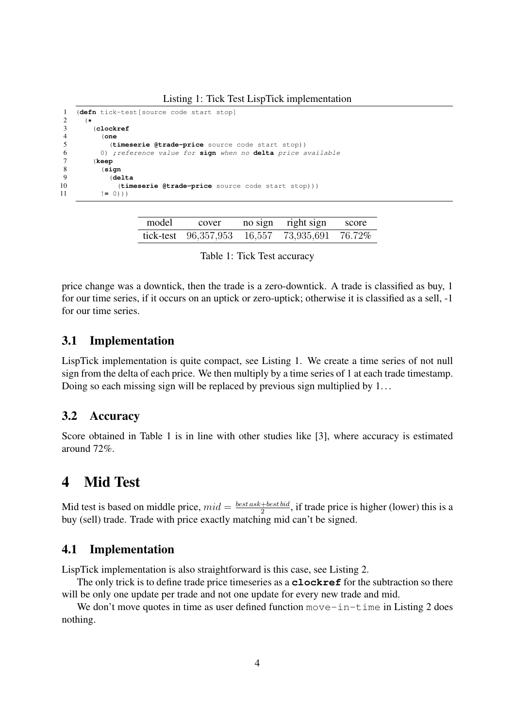Listing 1: Tick Test LispTick implementation

```
1 (defn tick-test[source code start stop]
\frac{2}{3} (*
3 (clockref
        4 (one
5 (timeserie @trade-price source code start stop))
6 0) ;reference value for sign when no delta price available
7 (keep
8 (sign
          9 (delta
10 (timeserie @trade-price source code start stop)))
11 != 0))
```

| model | cover                  | no sign | right sign | score  |
|-------|------------------------|---------|------------|--------|
|       | tick-test $96,357,953$ | 16,557  | 73,935,691 | 76.72% |

price change was a downtick, then the trade is a zero-downtick. A trade is classified as buy, 1 for our time series, if it occurs on an uptick or zero-uptick; otherwise it is classified as a sell, -1 for our time series.

### 3.1 Implementation

LispTick implementation is quite compact, see Listing 1. We create a time series of not null sign from the delta of each price. We then multiply by a time series of 1 at each trade timestamp. Doing so each missing sign will be replaced by previous sign multiplied by 1. . .

### 3.2 Accuracy

Score obtained in Table 1 is in line with other studies like [3], where accuracy is estimated around 72%.

# 4 Mid Test

Mid test is based on middle price,  $mid = \frac{best \, ask + best \, bid}{2}$  $\frac{1 - \text{best} \cdot \text{bad}}{2}$ , if trade price is higher (lower) this is a buy (sell) trade. Trade with price exactly matching mid can't be signed.

### 4.1 Implementation

LispTick implementation is also straightforward is this case, see Listing 2.

The only trick is to define trade price timeseries as a **clockref** for the subtraction so there will be only one update per trade and not one update for every new trade and mid.

We don't move quotes in time as user defined function move-in-time in Listing 2 does nothing.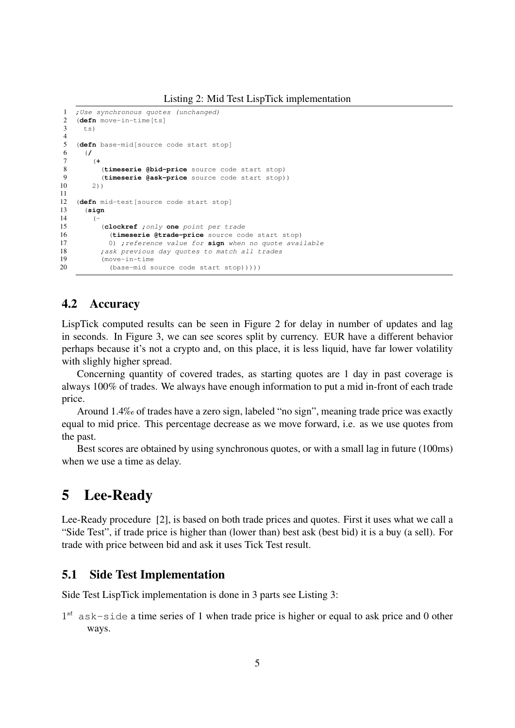```
1 ; Use synchronous quotes (unchanged)
2 (defn move-in-time [ts]<br>3 +s)
      ts)
4
5 (defn base-mid[source code start stop]
6 (/
7 (+
8 (timeserie @bid-price source code start stop)<br>9 (timeserie @ask-price source code start stop)
            9 (timeserie @ask-price source code start stop))
10 \t 2)\frac{11}{12}(defn mid-test [source code start stop]
13 (sign
14 (-
15 (clockref ;only one point per trade
16 (timeserie @trade-price source code start stop)<br>17 0) : reference value for sign when no guote avai
              0) ;reference value for sign when no quote available
18 ; ask previous day quotes to match all trades<br>19 	 (move-in-time)
19 (move-in-time)<br>20 (base-mid s)
              (base-mid source code start stop))))
```
### 4.2 Accuracy

LispTick computed results can be seen in Figure 2 for delay in number of updates and lag in seconds. In Figure 3, we can see scores split by currency. EUR have a different behavior perhaps because it's not a crypto and, on this place, it is less liquid, have far lower volatility with slighly higher spread.

Concerning quantity of covered trades, as starting quotes are 1 day in past coverage is always 100% of trades. We always have enough information to put a mid in-front of each trade price.

Around 1.4‰ of trades have a zero sign, labeled "no sign", meaning trade price was exactly equal to mid price. This percentage decrease as we move forward, i.e. as we use quotes from the past.

Best scores are obtained by using synchronous quotes, or with a small lag in future (100ms) when we use a time as delay.

### 5 Lee-Ready

Lee-Ready procedure [2], is based on both trade prices and quotes. First it uses what we call a "Side Test", if trade price is higher than (lower than) best ask (best bid) it is a buy (a sell). For trade with price between bid and ask it uses Tick Test result.

### 5.1 Side Test Implementation

Side Test LispTick implementation is done in 3 parts see Listing 3:

 $1^{st}$  ask-side a time series of 1 when trade price is higher or equal to ask price and 0 other ways.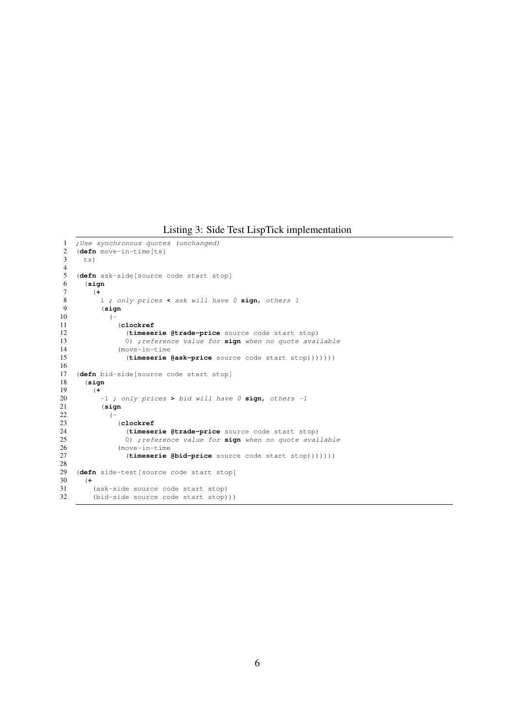#### Listing 3: Side Test LispTick implementation

```
1 ; Use synchronous quotes (unchanged)<br>2 (defn move-in-time[ts]
2 (defn move-in-time[ts]
      ts)
 4
5 (defn ask-side[source code start stop]
 6 (sign
         7 (+
 8 1 ; only prices < ask will have 0 sign, others 1
9 (sign
\begin{array}{ccc} 10 & \hspace{1.5cm} & \hspace{1.5cm} & \hspace{1.5cm} \\ 11 & \hspace{1.5cm} & \end{array}11 (clockref)<br>12 (timese)
                   (timeserie @trade-price source code start stop)
13 0) ;reference value for sign when no quote available 14 (move-in-time
14 (move-in-time<br>15 (timeserie)
                   15 (timeserie @ask-price source code start stop)))))))
\frac{16}{17}17 (defn bid-side[source code start stop]
       18 (sign
19 (+
           20 -1 ; only prices > bid will have 0 sign, others -1
21 (sign
\frac{22}{23} (-
                23 (clockref
24 (timeserie @trade-price source code start stop)<br>25 0) ; reference value for sign when no quote avai
25 0) ;reference value for sign when no quote available 26 (move-in-time
                (move-in-time
27 (timeserie @bid-price source code start stop)))))))
rac{28}{29}(defn side-test[source code start stop]
30 (+
         (ask-side source code start stop)
32 (bid-side source code start stop)))
```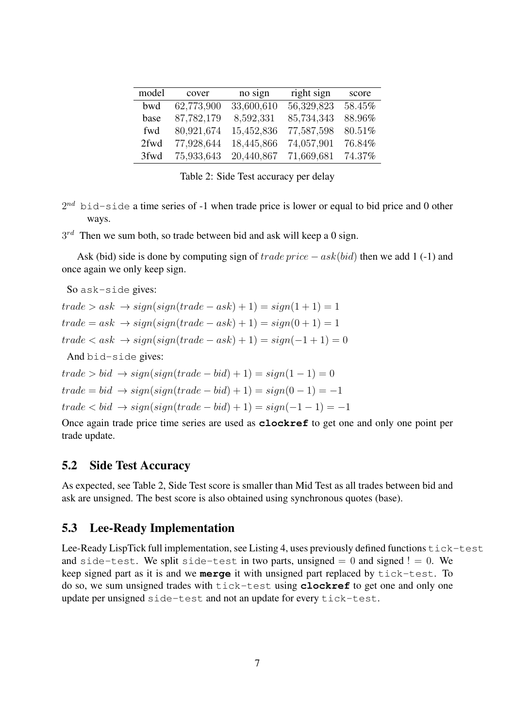| model | cover      | no sign    | right sign | score  |
|-------|------------|------------|------------|--------|
| bwd   | 62,773,900 | 33,600,610 | 56,329,823 | 58.45% |
| base  | 87,782,179 | 8,592,331  | 85,734,343 | 88.96% |
| fwd   | 80,921,674 | 15,452,836 | 77,587,598 | 80.51% |
| 2fwd  | 77,928,644 | 18,445,866 | 74,057,901 | 76.84% |
| 3fwd  | 75,933,643 | 20,440,867 | 71,669,681 | 74.37% |

Table 2: Side Test accuracy per delay

 $2^{nd}$  bid-side a time series of -1 when trade price is lower or equal to bid price and 0 other ways.

 $3^{rd}$  Then we sum both, so trade between bid and ask will keep a 0 sign.

Ask (bid) side is done by computing sign of  $trade\ price - ask(bid)$  then we add 1 (-1) and once again we only keep sign.

So ask-side gives:

 $trade > ask \rightarrow sign(sign(trainde - ask) + 1) = sign(1 + 1) = 1$  $trade = ask \rightarrow sign(sign(trained = ask) + 1) = sign(0 + 1) = 1$  $trade < ask \rightarrow sign(sign(trained = ask) + 1) = sign(-1 + 1) = 0$ And bid-side gives:  $trade > bid \rightarrow sign(sign(trainede - bid) + 1) = sign(1 - 1) = 0$  $trade = bid \rightarrow sign(sign(train + bid) + 1) = sign(0 - 1) = -1$ 

 $trade < bid \rightarrow sign(sign(trainede - bid) + 1) = sign(-1 - 1) = -1$ 

Once again trade price time series are used as **clockref** to get one and only one point per trade update.

### 5.2 Side Test Accuracy

As expected, see Table 2, Side Test score is smaller than Mid Test as all trades between bid and ask are unsigned. The best score is also obtained using synchronous quotes (base).

### 5.3 Lee-Ready Implementation

Lee-Ready LispTick full implementation, see Listing 4, uses previously defined functions  $\text{tick-test}$ and side-test. We split side-test in two parts, unsigned  $= 0$  and signed  $!= 0$ . We keep signed part as it is and we **merge** it with unsigned part replaced by tick-test. To do so, we sum unsigned trades with tick-test using **clockref** to get one and only one update per unsigned side-test and not an update for every tick-test.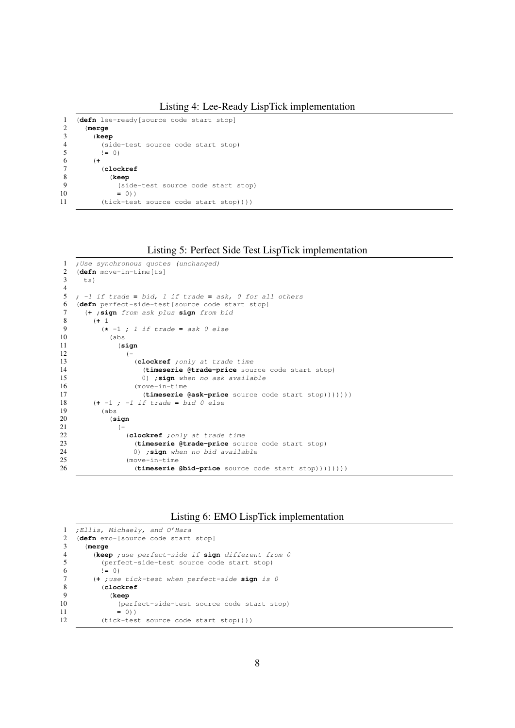```
1 (defn lee-ready[source code start stop]
     2 (merge
3 (keep
4 (side-test source code start stop)
5 != 0)<br>6 (+
       (+7 (clockref
8 (keep
9 (side-test source code start stop)<br>
10 = 0))
            10 = 0))
11 (tick-test source code start stop))))
```
Listing 5: Perfect Side Test LispTick implementation

```
1 ; Use synchronous quotes (unchanged)
2 (defn move-in-time[ts]
     ts)
4
5 ; -1 if trade = bid, 1 if trade = ask, 0 for all others
6 (defn perfect-side-test[source code start stop]
7 (+ ;sign from ask plus sign from bid
        8 (+ 1
9 (* -1 ; 1 if trade = ask 0 else
\begin{array}{ccc} 10 & & \text{(abs)} \\ 11 & & \text{(s)} \end{array}11 (sign
12 (-
13 (clockref ;only at trade time
14 (timeserie @trade-price source code start stop)
15 0) ; sign when no ask available<br>16 (move-in-time
                  (move-in-time17 (timeserie @ask-price source code start stop)))))))<br>18 (+ -1 ; -1 if trade = bid 0 else
18 (+ -1 ; -1 if trade = bid 0 else
          (abs)20 (sign
21 (–
22 (clockref ;only at trade time
23 (timeserie @trade-price source code start stop)<br>24 (1) sign when no hid available
                  24 0) ;sign when no bid available
25 (move-in-time
26 (timeserie @bid-price source code start stop))))))))
```


```
1 ;Ellis, Michaely, and O'Hara
2 (defn emo-[source code start stop]
     3 (merge
4 (keep ;use perfect-side if sign different from 0
5 (perfect-side-test source code start stop)<br>6 := 0)
         6 != 0)
7 (+ ;use tick-test when perfect-side sign is 0
         8 (clockref
9 (keep
10 (perfect-side-test source code start stop)<br>11 = 0))
             11 = 0))
12 (tick-test source code start stop))))
```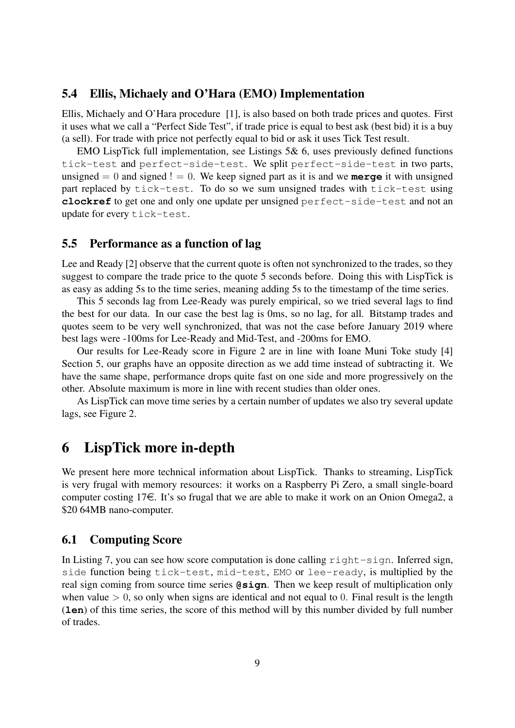### 5.4 Ellis, Michaely and O'Hara (EMO) Implementation

Ellis, Michaely and O'Hara procedure [1], is also based on both trade prices and quotes. First it uses what we call a "Perfect Side Test", if trade price is equal to best ask (best bid) it is a buy (a sell). For trade with price not perfectly equal to bid or ask it uses Tick Test result.

EMO LispTick full implementation, see Listings 5& 6, uses previously defined functions tick-test and perfect-side-test. We split perfect-side-test in two parts, unsigned  $= 0$  and signed  $! = 0$ . We keep signed part as it is and we **merge** it with unsigned part replaced by tick-test. To do so we sum unsigned trades with tick-test using **clockref** to get one and only one update per unsigned perfect-side-test and not an update for every tick-test.

#### 5.5 Performance as a function of lag

Lee and Ready [2] observe that the current quote is often not synchronized to the trades, so they suggest to compare the trade price to the quote 5 seconds before. Doing this with LispTick is as easy as adding 5s to the time series, meaning adding 5s to the timestamp of the time series.

This 5 seconds lag from Lee-Ready was purely empirical, so we tried several lags to find the best for our data. In our case the best lag is 0ms, so no lag, for all. Bitstamp trades and quotes seem to be very well synchronized, that was not the case before January 2019 where best lags were -100ms for Lee-Ready and Mid-Test, and -200ms for EMO.

Our results for Lee-Ready score in Figure 2 are in line with Ioane Muni Toke study [4] Section 5, our graphs have an opposite direction as we add time instead of subtracting it. We have the same shape, performance drops quite fast on one side and more progressively on the other. Absolute maximum is more in line with recent studies than older ones.

As LispTick can move time series by a certain number of updates we also try several update lags, see Figure 2.

### 6 LispTick more in-depth

We present here more technical information about LispTick. Thanks to streaming, LispTick is very frugal with memory resources: it works on a Raspberry Pi Zero, a small single-board computer costing  $17\epsilon$ . It's so frugal that we are able to make it work on an Onion Omega2, a \$20 64MB nano-computer.

#### 6.1 Computing Score

In Listing 7, you can see how score computation is done calling  $\text{right-sign}$ . Inferred sign, side function being tick-test, mid-test, EMO or lee-ready, is multiplied by the real sign coming from source time series **@sign**. Then we keep result of multiplication only when value  $> 0$ , so only when signs are identical and not equal to 0. Final result is the length (**len**) of this time series, the score of this method will by this number divided by full number of trades.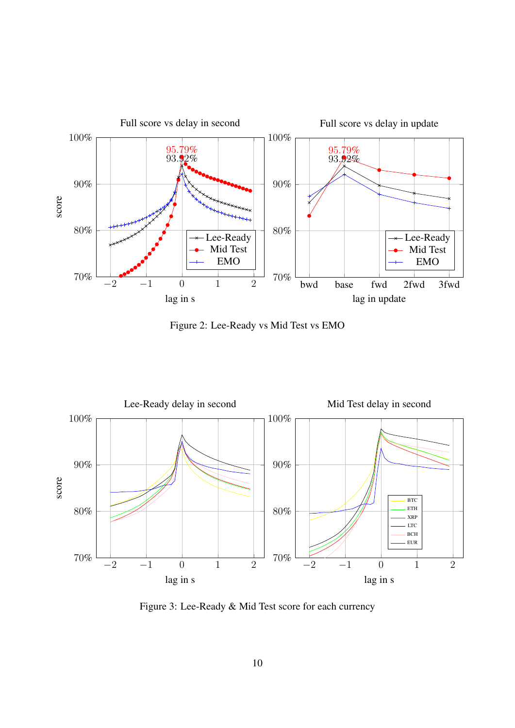

Figure 2: Lee-Ready vs Mid Test vs EMO



Figure 3: Lee-Ready & Mid Test score for each currency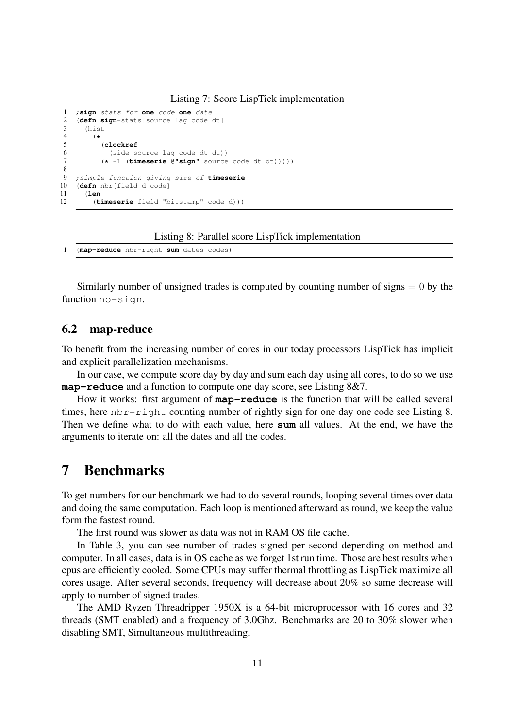```
1 ;sign stats for one code one date
2 (defn sign-stats[source lag code dt]
\begin{array}{ccc} 3 & \text{(hist)} \\ 4 & \text{(*} \end{array}4 (*
            5 (clockref
6 (side source lag code dt dt))
7 (* -1 (timeserie @"sign" source code dt dt)))))
\begin{array}{c} 8 \\ 9 \end{array}9 ;simple function giving size of timeserie
10 (defn nbr[field d code]
11 (len
         (timeserie field "bitstamp" code d)))
```
Listing 8: Parallel score LispTick implementation

1 (**map-reduce** nbr-right **sum** dates codes)

Similarly number of unsigned trades is computed by counting number of signs  $= 0$  by the function no-sign.

#### 6.2 map-reduce

To benefit from the increasing number of cores in our today processors LispTick has implicit and explicit parallelization mechanisms.

In our case, we compute score day by day and sum each day using all cores, to do so we use **map-reduce** and a function to compute one day score, see Listing 8&7.

How it works: first argument of **map-reduce** is the function that will be called several times, here nbr-right counting number of rightly sign for one day one code see Listing 8. Then we define what to do with each value, here **sum** all values. At the end, we have the arguments to iterate on: all the dates and all the codes.

### 7 Benchmarks

To get numbers for our benchmark we had to do several rounds, looping several times over data and doing the same computation. Each loop is mentioned afterward as round, we keep the value form the fastest round.

The first round was slower as data was not in RAM OS file cache.

In Table 3, you can see number of trades signed per second depending on method and computer. In all cases, data is in OS cache as we forget 1st run time. Those are best results when cpus are efficiently cooled. Some CPUs may suffer thermal throttling as LispTick maximize all cores usage. After several seconds, frequency will decrease about 20% so same decrease will apply to number of signed trades.

The AMD Ryzen Threadripper 1950X is a 64-bit microprocessor with 16 cores and 32 threads (SMT enabled) and a frequency of 3.0Ghz. Benchmarks are 20 to 30% slower when disabling SMT, Simultaneous multithreading,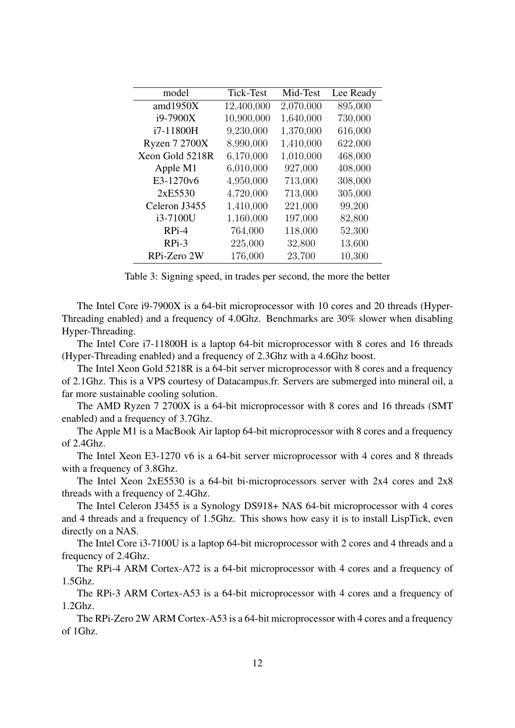| model                | <b>Tick-Test</b> | Mid-Test  | Lee Ready |
|----------------------|------------------|-----------|-----------|
| amd $1950X$          | 12,400,000       | 2,070,000 | 895,000   |
| i9-7900X             | 10,900,000       | 1,640,000 | 730,000   |
| i7-11800H            | 9,230,000        | 1,370,000 | 616,000   |
| <b>Ryzen 7 2700X</b> | 8,990,000        | 1,410,000 | 622,000   |
| Xeon Gold 5218R      | 6,170,000        | 1,010,000 | 468,000   |
| Apple M1             | 6,010,000        | 927,000   | 408,000   |
| E3-1270v6            | 4,950,000        | 713,000   | 308,000   |
| 2xE5530              | 4,720,000        | 713,000   | 305,000   |
| Celeron J3455        | 1,410,000        | 221,000   | 99,200    |
| i3-7100U             | 1,160,000        | 197,000   | 82,800    |
| RPi-4                | 764,000          | 118,000   | 52,300    |
| $RPi-3$              | 225,000          | 32,800    | 13,600    |
| RPi-Zero 2W          | 176,000          | 23,700    | 10,300    |

Table 3: Signing speed, in trades per second, the more the better

The Intel Core i9-7900X is a 64-bit microprocessor with 10 cores and 20 threads (Hyper-Threading enabled) and a frequency of 4.0Ghz. Benchmarks are 30% slower when disabling Hyper-Threading.

The Intel Core i7-11800H is a laptop 64-bit microprocessor with 8 cores and 16 threads (Hyper-Threading enabled) and a frequency of 2.3Ghz with a 4.6Ghz boost.

The Intel Xeon Gold 5218R is a 64-bit server microprocessor with 8 cores and a frequency of 2.1Ghz. This is a VPS courtesy of Datacampus.fr. Servers are submerged into mineral oil, a far more sustainable cooling solution.

The AMD Ryzen 7 2700X is a 64-bit microprocessor with 8 cores and 16 threads (SMT enabled) and a frequency of 3.7Ghz.

The Apple M1 is a MacBook Air laptop 64-bit microprocessor with 8 cores and a frequency of 2.4Ghz.

The Intel Xeon E3-1270 v6 is a 64-bit server microprocessor with 4 cores and 8 threads with a frequency of 3.8Ghz.

The Intel Xeon 2xE5530 is a 64-bit bi-microprocessors server with 2x4 cores and 2x8 threads with a frequency of 2.4Ghz.

The Intel Celeron J3455 is a Synology DS918+ NAS 64-bit microprocessor with 4 cores and 4 threads and a frequency of 1.5Ghz. This shows how easy it is to install LispTick, even directly on a NAS.

The Intel Core i3-7100U is a laptop 64-bit microprocessor with 2 cores and 4 threads and a frequency of 2.4Ghz.

The RPi-4 ARM Cortex-A72 is a 64-bit microprocessor with 4 cores and a frequency of 1.5Ghz.

The RPi-3 ARM Cortex-A53 is a 64-bit microprocessor with 4 cores and a frequency of 1.2Ghz.

The RPi-Zero 2W ARM Cortex-A53 is a 64-bit microprocessor with 4 cores and a frequency of 1Ghz.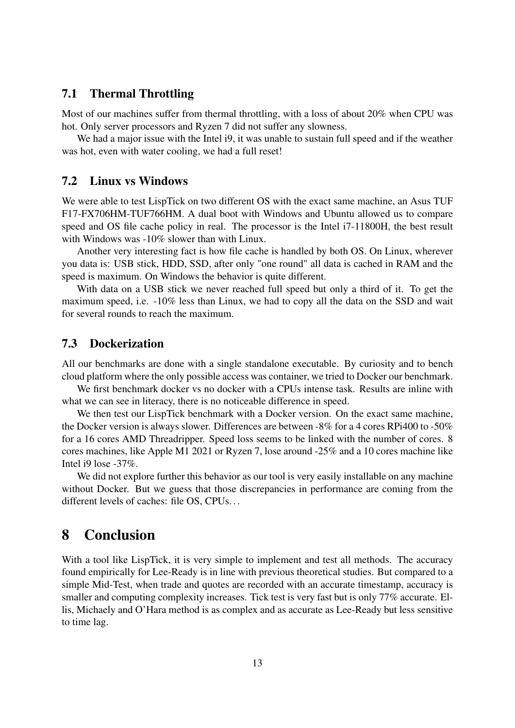### 7.1 Thermal Throttling

Most of our machines suffer from thermal throttling, with a loss of about 20% when CPU was hot. Only server processors and Ryzen 7 did not suffer any slowness.

We had a major issue with the Intel i9, it was unable to sustain full speed and if the weather was hot, even with water cooling, we had a full reset!

#### 7.2 Linux vs Windows

We were able to test LispTick on two different OS with the exact same machine, an Asus TUF F17-FX706HM-TUF766HM. A dual boot with Windows and Ubuntu allowed us to compare speed and OS file cache policy in real. The processor is the Intel i7-11800H, the best result with Windows was -10% slower than with Linux.

Another very interesting fact is how file cache is handled by both OS. On Linux, wherever you data is: USB stick, HDD, SSD, after only "one round" all data is cached in RAM and the speed is maximum. On Windows the behavior is quite different.

With data on a USB stick we never reached full speed but only a third of it. To get the maximum speed, i.e. -10% less than Linux, we had to copy all the data on the SSD and wait for several rounds to reach the maximum.

#### 7.3 Dockerization

All our benchmarks are done with a single standalone executable. By curiosity and to bench cloud platform where the only possible access was container, we tried to Docker our benchmark.

We first benchmark docker vs no docker with a CPUs intense task. Results are inline with what we can see in literacy, there is no noticeable difference in speed.

We then test our LispTick benchmark with a Docker version. On the exact same machine, the Docker version is always slower. Differences are between -8% for a 4 cores RPi400 to -50% for a 16 cores AMD Threadripper. Speed loss seems to be linked with the number of cores. 8 cores machines, like Apple M1 2021 or Ryzen 7, lose around -25% and a 10 cores machine like Intel i9 lose -37%.

We did not explore further this behavior as our tool is very easily installable on any machine without Docker. But we guess that those discrepancies in performance are coming from the different levels of caches: file OS, CPUs. . .

# 8 Conclusion

With a tool like LispTick, it is very simple to implement and test all methods. The accuracy found empirically for Lee-Ready is in line with previous theoretical studies. But compared to a simple Mid-Test, when trade and quotes are recorded with an accurate timestamp, accuracy is smaller and computing complexity increases. Tick test is very fast but is only 77% accurate. Ellis, Michaely and O'Hara method is as complex and as accurate as Lee-Ready but less sensitive to time lag.